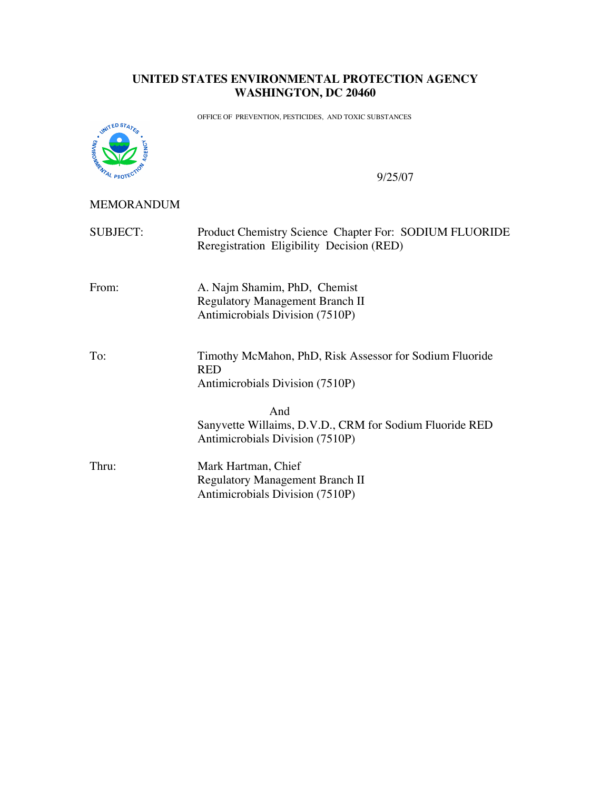## **UNITED STATES ENVIRONMENTAL PROTECTION AGENCY WASHINGTON, DC 20460**

OFFICE OF PREVENTION, PESTICIDES, AND TOXIC SUBSTANCES



9/25/07

## MEMORANDUM

| <b>SUBJECT:</b> | Product Chemistry Science Chapter For: SODIUM FLUORIDE<br>Reregistration Eligibility Decision (RED)       |
|-----------------|-----------------------------------------------------------------------------------------------------------|
| From:           | A. Najm Shamim, PhD, Chemist<br><b>Regulatory Management Branch II</b><br>Antimicrobials Division (7510P) |
| To:             | Timothy McMahon, PhD, Risk Assessor for Sodium Fluoride<br><b>RED</b><br>Antimicrobials Division (7510P)  |
|                 | And<br>Sanyvette Willaims, D.V.D., CRM for Sodium Fluoride RED<br>Antimicrobials Division (7510P)         |
| Thru:           | Mark Hartman, Chief<br><b>Regulatory Management Branch II</b><br>Antimicrobials Division (7510P)          |